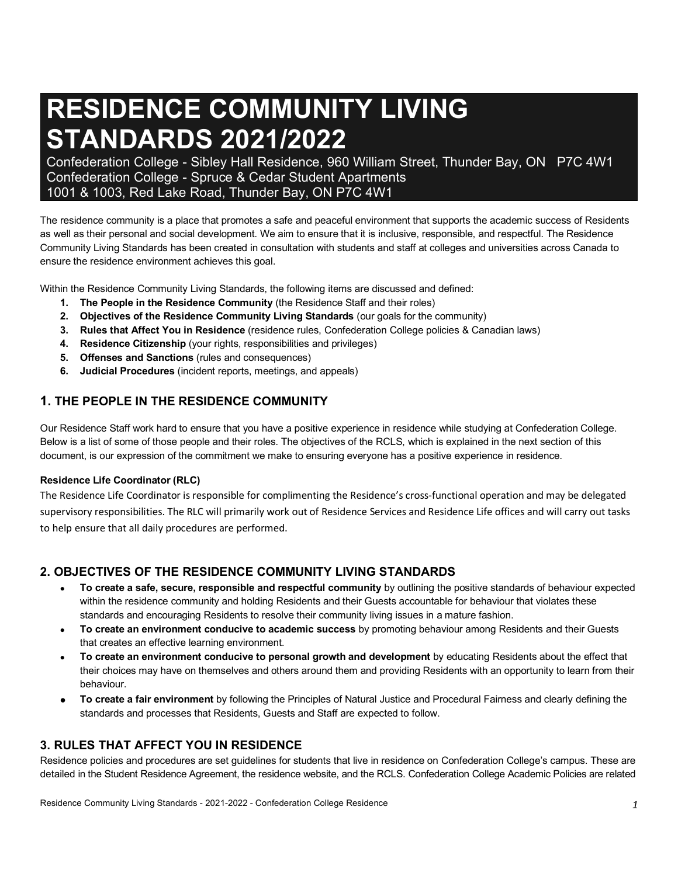# **RESIDENCE COMMUNITY LIVING STANDARDS 2021/2022**

Confederation College - Sibley Hall Residence, 960 William Street, Thunder Bay, ON P7C 4W1 Confederation College - Spruce & Cedar Student Apartments 1001 & 1003, Red Lake Road, Thunder Bay, ON P7C 4W1

The residence community is a place that promotes a safe and peaceful environment that supports the academic success of Residents as well as their personal and social development. We aim to ensure that it is inclusive, responsible, and respectful. The Residence Community Living Standards has been created in consultation with students and staff at colleges and universities across Canada to ensure the residence environment achieves this goal.

Within the Residence Community Living Standards, the following items are discussed and defined:

- **1. The People in the Residence Community** (the Residence Staff and their roles)
- **2. Objectives of the Residence Community Living Standards** (our goals for the community)
- **3. Rules that Affect You in Residence** (residence rules, Confederation College policies & Canadian laws)
- **4. Residence Citizenship** (your rights, responsibilities and privileges)
- **5. Offenses and Sanctions** (rules and consequences)
- **6. Judicial Procedures** (incident reports, meetings, and appeals)

# **1. THE PEOPLE IN THE RESIDENCE COMMUNITY**

Our Residence Staff work hard to ensure that you have a positive experience in residence while studying at Confederation College. Below is a list of some of those people and their roles. The objectives of the RCLS, which is explained in the next section of this document, is our expression of the commitment we make to ensuring everyone has a positive experience in residence.

#### **Residence Life Coordinator (RLC)**

The Residence Life Coordinator is responsible for complimenting the Residence's cross-functional operation and may be delegated supervisory responsibilities. The RLC will primarily work out of Residence Services and Residence Life offices and will carry out tasks to help ensure that all daily procedures are performed.

# **2. OBJECTIVES OF THE RESIDENCE COMMUNITY LIVING STANDARDS**

- **To create a safe, secure, responsible and respectful community** by outlining the positive standards of behaviour expected within the residence community and holding Residents and their Guests accountable for behaviour that violates these standards and encouraging Residents to resolve their community living issues in a mature fashion.
- **To create an environment conducive to academic success** by promoting behaviour among Residents and their Guests that creates an effective learning environment.
- **To create an environment conducive to personal growth and development** by educating Residents about the effect that their choices may have on themselves and others around them and providing Residents with an opportunity to learn from their behaviour.
- **To create a fair environment** by following the Principles of Natural Justice and Procedural Fairness and clearly defining the standards and processes that Residents, Guests and Staff are expected to follow.

# **3. RULES THAT AFFECT YOU IN RESIDENCE**

Residence policies and procedures are set guidelines for students that live in residence on Confederation College's campus. These are detailed in the Student Residence Agreement, the residence website, and the RCLS. Confederation College Academic Policies are related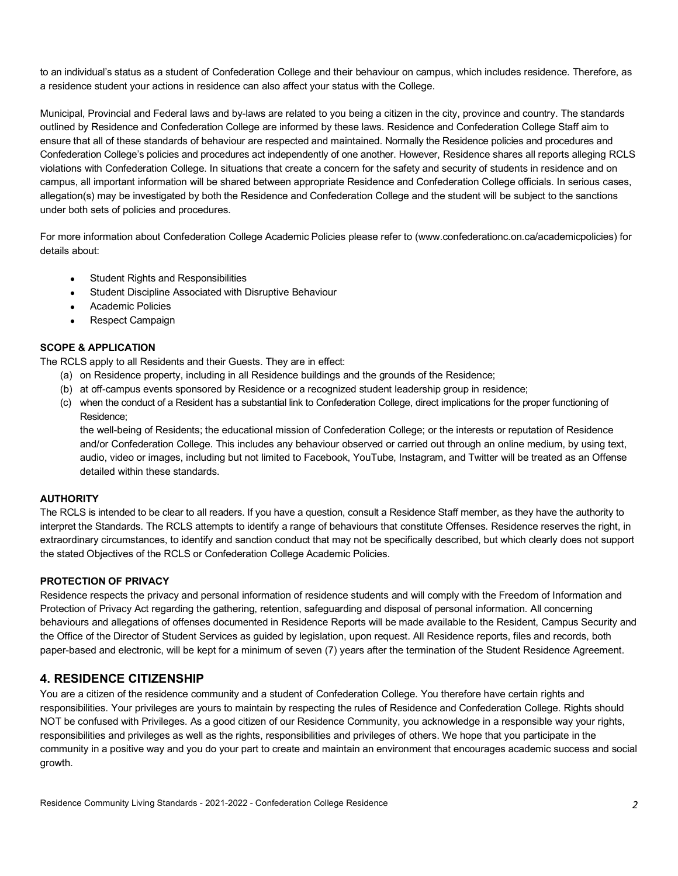to an individual's status as a student of Confederation College and their behaviour on campus, which includes residence. Therefore, as a residence student your actions in residence can also affect your status with the College.

Municipal, Provincial and Federal laws and by-laws are related to you being a citizen in the city, province and country. The standards outlined by Residence and Confederation College are informed by these laws. Residence and Confederation College Staff aim to ensure that all of these standards of behaviour are respected and maintained. Normally the Residence policies and procedures and Confederation College's policies and procedures act independently of one another. However, Residence shares all reports alleging RCLS violations with Confederation College. In situations that create a concern for the safety and security of students in residence and on campus, all important information will be shared between appropriate Residence and Confederation College officials. In serious cases, allegation(s) may be investigated by both the Residence and Confederation College and the student will be subject to the sanctions under both sets of policies and procedures.

For more information about Confederation College Academic Policies please refer to (www.confederationc.on.ca/academicpolicies) for details about:

- Student Rights and Responsibilities
- Student Discipline Associated with Disruptive Behaviour
- Academic Policies
- Respect Campaign

#### **SCOPE & APPLICATION**

The RCLS apply to all Residents and their Guests. They are in effect:

- (a) on Residence property, including in all Residence buildings and the grounds of the Residence;
- (b) at off-campus events sponsored by Residence or a recognized student leadership group in residence;
- (c) when the conduct of a Resident has a substantial link to Confederation College, direct implications for the proper functioning of Residence;

the well-being of Residents; the educational mission of Confederation College; or the interests or reputation of Residence and/or Confederation College. This includes any behaviour observed or carried out through an online medium, by using text, audio, video or images, including but not limited to Facebook, YouTube, Instagram, and Twitter will be treated as an Offense detailed within these standards.

#### **AUTHORITY**

The RCLS is intended to be clear to all readers. If you have a question, consult a Residence Staff member, as they have the authority to interpret the Standards. The RCLS attempts to identify a range of behaviours that constitute Offenses. Residence reserves the right, in extraordinary circumstances, to identify and sanction conduct that may not be specifically described, but which clearly does not support the stated Objectives of the RCLS or Confederation College Academic Policies.

#### **PROTECTION OF PRIVACY**

Residence respects the privacy and personal information of residence students and will comply with the Freedom of Information and Protection of Privacy Act regarding the gathering, retention, safeguarding and disposal of personal information. All concerning behaviours and allegations of offenses documented in Residence Reports will be made available to the Resident, Campus Security and the Office of the Director of Student Services as guided by legislation, upon request. All Residence reports, files and records, both paper-based and electronic, will be kept for a minimum of seven (7) years after the termination of the Student Residence Agreement.

## **4. RESIDENCE CITIZENSHIP**

You are a citizen of the residence community and a student of Confederation College. You therefore have certain rights and responsibilities. Your privileges are yours to maintain by respecting the rules of Residence and Confederation College. Rights should NOT be confused with Privileges. As a good citizen of our Residence Community, you acknowledge in a responsible way your rights, responsibilities and privileges as well as the rights, responsibilities and privileges of others. We hope that you participate in the community in a positive way and you do your part to create and maintain an environment that encourages academic success and social growth.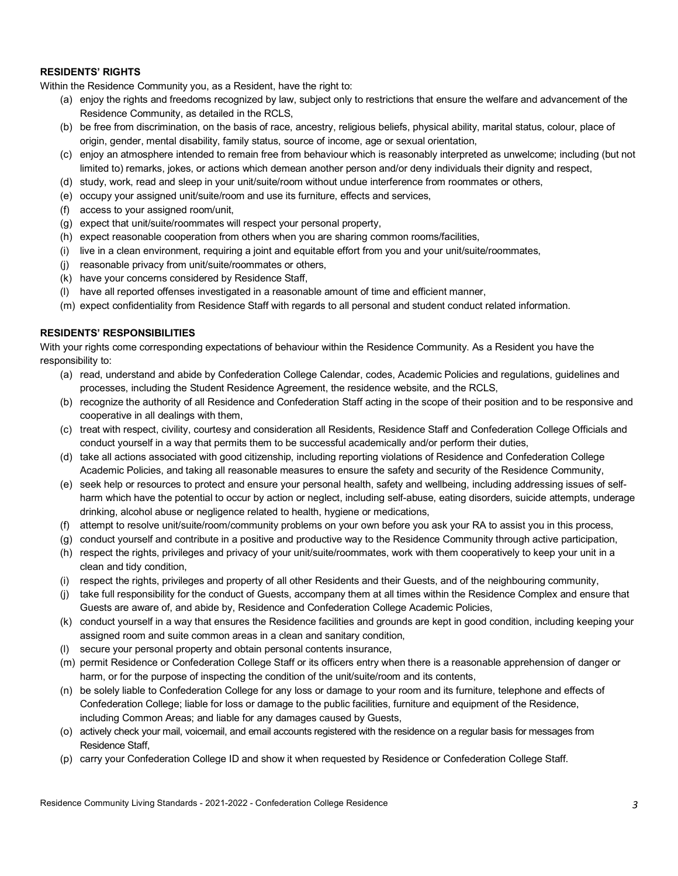#### **RESIDENTS' RIGHTS**

Within the Residence Community you, as a Resident, have the right to:

- (a) enjoy the rights and freedoms recognized by law, subject only to restrictions that ensure the welfare and advancement of the Residence Community, as detailed in the RCLS,
- (b) be free from discrimination, on the basis of race, ancestry, religious beliefs, physical ability, marital status, colour, place of origin, gender, mental disability, family status, source of income, age or sexual orientation,
- (c) enjoy an atmosphere intended to remain free from behaviour which is reasonably interpreted as unwelcome; including (but not limited to) remarks, jokes, or actions which demean another person and/or deny individuals their dignity and respect,
- (d) study, work, read and sleep in your unit/suite/room without undue interference from roommates or others,
- (e) occupy your assigned unit/suite/room and use its furniture, effects and services,
- (f) access to your assigned room/unit,
- (g) expect that unit/suite/roommates will respect your personal property,
- (h) expect reasonable cooperation from others when you are sharing common rooms/facilities,
- (i) live in a clean environment, requiring a joint and equitable effort from you and your unit/suite/roommates,
- (j) reasonable privacy from unit/suite/roommates or others,
- (k) have your concerns considered by Residence Staff,
- (l) have all reported offenses investigated in a reasonable amount of time and efficient manner,
- (m) expect confidentiality from Residence Staff with regards to all personal and student conduct related information.

#### **RESIDENTS' RESPONSIBILITIES**

With your rights come corresponding expectations of behaviour within the Residence Community. As a Resident you have the responsibility to:

- (a) read, understand and abide by Confederation College Calendar, codes, Academic Policies and regulations, guidelines and processes, including the Student Residence Agreement, the residence website, and the RCLS,
- (b) recognize the authority of all Residence and Confederation Staff acting in the scope of their position and to be responsive and cooperative in all dealings with them,
- (c) treat with respect, civility, courtesy and consideration all Residents, Residence Staff and Confederation College Officials and conduct yourself in a way that permits them to be successful academically and/or perform their duties,
- (d) take all actions associated with good citizenship, including reporting violations of Residence and Confederation College Academic Policies, and taking all reasonable measures to ensure the safety and security of the Residence Community,
- (e) seek help or resources to protect and ensure your personal health, safety and wellbeing, including addressing issues of selfharm which have the potential to occur by action or neglect, including self-abuse, eating disorders, suicide attempts, underage drinking, alcohol abuse or negligence related to health, hygiene or medications,
- (f) attempt to resolve unit/suite/room/community problems on your own before you ask your RA to assist you in this process,
- (g) conduct yourself and contribute in a positive and productive way to the Residence Community through active participation,
- (h) respect the rights, privileges and privacy of your unit/suite/roommates, work with them cooperatively to keep your unit in a clean and tidy condition,
- (i) respect the rights, privileges and property of all other Residents and their Guests, and of the neighbouring community,
- (j) take full responsibility for the conduct of Guests, accompany them at all times within the Residence Complex and ensure that Guests are aware of, and abide by, Residence and Confederation College Academic Policies,
- (k) conduct yourself in a way that ensures the Residence facilities and grounds are kept in good condition, including keeping your assigned room and suite common areas in a clean and sanitary condition,
- (l) secure your personal property and obtain personal contents insurance,
- (m) permit Residence or Confederation College Staff or its officers entry when there is a reasonable apprehension of danger or harm, or for the purpose of inspecting the condition of the unit/suite/room and its contents,
- (n) be solely liable to Confederation College for any loss or damage to your room and its furniture, telephone and effects of Confederation College; liable for loss or damage to the public facilities, furniture and equipment of the Residence, including Common Areas; and liable for any damages caused by Guests,
- (o) actively check your mail, voicemail, and email accounts registered with the residence on a regular basis for messages from Residence Staff,
- (p) carry your Confederation College ID and show it when requested by Residence or Confederation College Staff.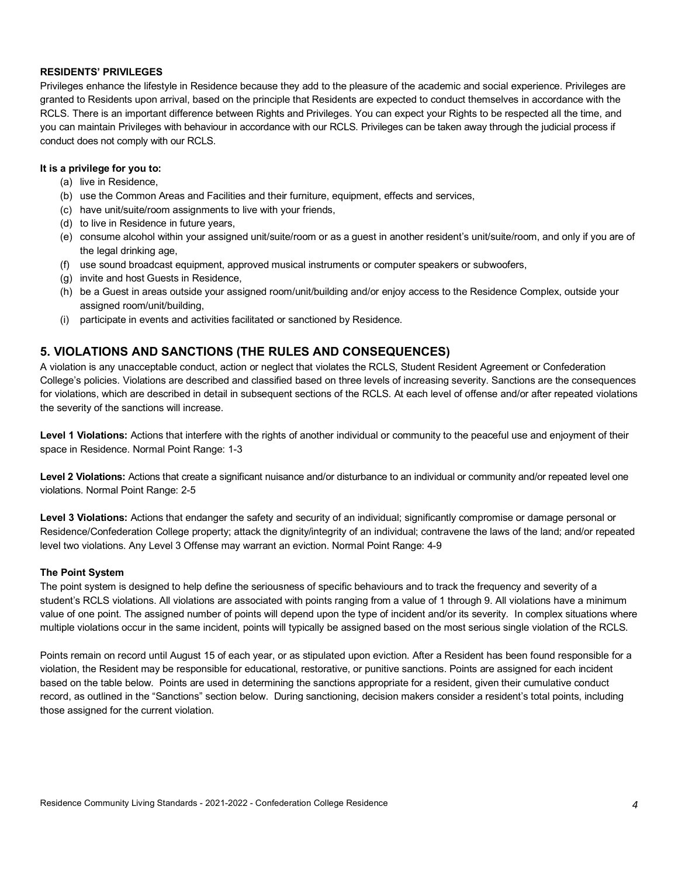#### **RESIDENTS' PRIVILEGES**

Privileges enhance the lifestyle in Residence because they add to the pleasure of the academic and social experience. Privileges are granted to Residents upon arrival, based on the principle that Residents are expected to conduct themselves in accordance with the RCLS. There is an important difference between Rights and Privileges. You can expect your Rights to be respected all the time, and you can maintain Privileges with behaviour in accordance with our RCLS. Privileges can be taken away through the judicial process if conduct does not comply with our RCLS.

#### **It is a privilege for you to:**

- (a) live in Residence,
- (b) use the Common Areas and Facilities and their furniture, equipment, effects and services,
- (c) have unit/suite/room assignments to live with your friends,
- (d) to live in Residence in future years,
- (e) consume alcohol within your assigned unit/suite/room or as a guest in another resident's unit/suite/room, and only if you are of the legal drinking age,
- (f) use sound broadcast equipment, approved musical instruments or computer speakers or subwoofers,
- (g) invite and host Guests in Residence,
- (h) be a Guest in areas outside your assigned room/unit/building and/or enjoy access to the Residence Complex, outside your assigned room/unit/building,
- (i) participate in events and activities facilitated or sanctioned by Residence.

## **5. VIOLATIONS AND SANCTIONS (THE RULES AND CONSEQUENCES)**

A violation is any unacceptable conduct, action or neglect that violates the RCLS, Student Resident Agreement or Confederation College's policies. Violations are described and classified based on three levels of increasing severity. Sanctions are the consequences for violations, which are described in detail in subsequent sections of the RCLS. At each level of offense and/or after repeated violations the severity of the sanctions will increase.

Level 1 Violations: Actions that interfere with the rights of another individual or community to the peaceful use and enjoyment of their space in Residence. Normal Point Range: 1-3

Level 2 Violations: Actions that create a significant nuisance and/or disturbance to an individual or community and/or repeated level one violations. Normal Point Range: 2-5

**Level 3 Violations:** Actions that endanger the safety and security of an individual; significantly compromise or damage personal or Residence/Confederation College property; attack the dignity/integrity of an individual; contravene the laws of the land; and/or repeated level two violations. Any Level 3 Offense may warrant an eviction. Normal Point Range: 4-9

#### **The Point System**

The point system is designed to help define the seriousness of specific behaviours and to track the frequency and severity of a student's RCLS violations. All violations are associated with points ranging from a value of 1 through 9. All violations have a minimum value of one point. The assigned number of points will depend upon the type of incident and/or its severity. In complex situations where multiple violations occur in the same incident, points will typically be assigned based on the most serious single violation of the RCLS.

Points remain on record until August 15 of each year, or as stipulated upon eviction. After a Resident has been found responsible for a violation, the Resident may be responsible for educational, restorative, or punitive sanctions. Points are assigned for each incident based on the table below. Points are used in determining the sanctions appropriate for a resident, given their cumulative conduct record, as outlined in the "Sanctions" section below. During sanctioning, decision makers consider a resident's total points, including those assigned for the current violation.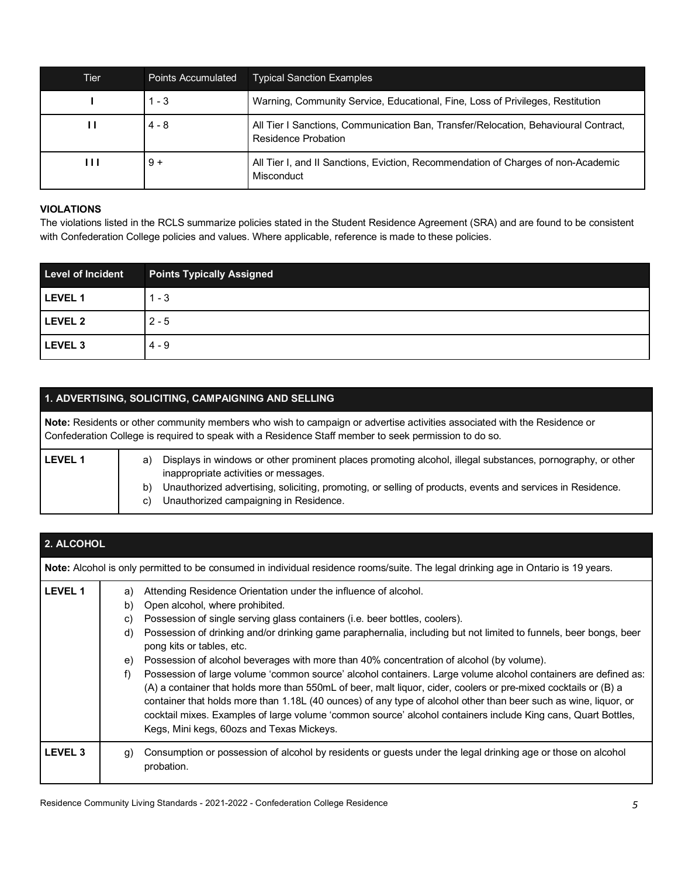| Tier           | <b>Points Accumulated</b> | <b>Typical Sanction Examples</b>                                                                                  |
|----------------|---------------------------|-------------------------------------------------------------------------------------------------------------------|
|                | $1 - 3$                   | Warning, Community Service, Educational, Fine, Loss of Privileges, Restitution                                    |
| ш              | $4 - 8$                   | All Tier I Sanctions, Communication Ban, Transfer/Relocation, Behavioural Contract,<br><b>Residence Probation</b> |
| $\blacksquare$ | $9+$                      | All Tier I, and II Sanctions, Eviction, Recommendation of Charges of non-Academic<br>Misconduct                   |

#### **VIOLATIONS**

The violations listed in the RCLS summarize policies stated in the Student Residence Agreement (SRA) and are found to be consistent with Confederation College policies and values. Where applicable, reference is made to these policies.

| <b>Level of Incident</b> | <b>Points Typically Assigned</b> |
|--------------------------|----------------------------------|
| LEVEL 1                  | $1 - 3$                          |
| LEVEL 2                  | $2 - 5$                          |
| LEVEL <sub>3</sub>       | $4 - 9$                          |

## **1. ADVERTISING, SOLICITING, CAMPAIGNING AND SELLING**

| Note: Residents or other community members who wish to campaign or advertise activities associated with the Residence or<br>Confederation College is required to speak with a Residence Staff member to seek permission to do so. |          |                                                                                                                                                                                                                                                                                                             |
|-----------------------------------------------------------------------------------------------------------------------------------------------------------------------------------------------------------------------------------|----------|-------------------------------------------------------------------------------------------------------------------------------------------------------------------------------------------------------------------------------------------------------------------------------------------------------------|
| <b>LEVEL 1</b>                                                                                                                                                                                                                    | a)<br>b) | Displays in windows or other prominent places promoting alcohol, illegal substances, pornography, or other<br>inappropriate activities or messages.<br>Unauthorized advertising, soliciting, promoting, or selling of products, events and services in Residence.<br>Unauthorized campaigning in Residence. |
|                                                                                                                                                                                                                                   | C)       |                                                                                                                                                                                                                                                                                                             |

| 2. ALCOHOL     |                                  |                                                                                                                                                                                                                                                                                                                                                                                                                                                                                                                                                                                                                                                                                                                                                                                                                                                                                                                                                        |
|----------------|----------------------------------|--------------------------------------------------------------------------------------------------------------------------------------------------------------------------------------------------------------------------------------------------------------------------------------------------------------------------------------------------------------------------------------------------------------------------------------------------------------------------------------------------------------------------------------------------------------------------------------------------------------------------------------------------------------------------------------------------------------------------------------------------------------------------------------------------------------------------------------------------------------------------------------------------------------------------------------------------------|
|                |                                  | Note: Alcohol is only permitted to be consumed in individual residence rooms/suite. The legal drinking age in Ontario is 19 years.                                                                                                                                                                                                                                                                                                                                                                                                                                                                                                                                                                                                                                                                                                                                                                                                                     |
| <b>LEVEL 1</b> | a)<br>b)<br>C)<br>d)<br>e)<br>f) | Attending Residence Orientation under the influence of alcohol.<br>Open alcohol, where prohibited.<br>Possession of single serving glass containers (i.e. beer bottles, coolers).<br>Possession of drinking and/or drinking game paraphernalia, including but not limited to funnels, beer bongs, beer<br>pong kits or tables, etc.<br>Possession of alcohol beverages with more than 40% concentration of alcohol (by volume).<br>Possession of large volume 'common source' alcohol containers. Large volume alcohol containers are defined as:<br>(A) a container that holds more than 550mL of beer, malt liquor, cider, coolers or pre-mixed cocktails or (B) a<br>container that holds more than 1.18L (40 ounces) of any type of alcohol other than beer such as wine, liquor, or<br>cocktail mixes. Examples of large volume 'common source' alcohol containers include King cans, Quart Bottles,<br>Kegs, Mini kegs, 60ozs and Texas Mickeys. |
| <b>LEVEL 3</b> | g)                               | Consumption or possession of alcohol by residents or guests under the legal drinking age or those on alcohol<br>probation.                                                                                                                                                                                                                                                                                                                                                                                                                                                                                                                                                                                                                                                                                                                                                                                                                             |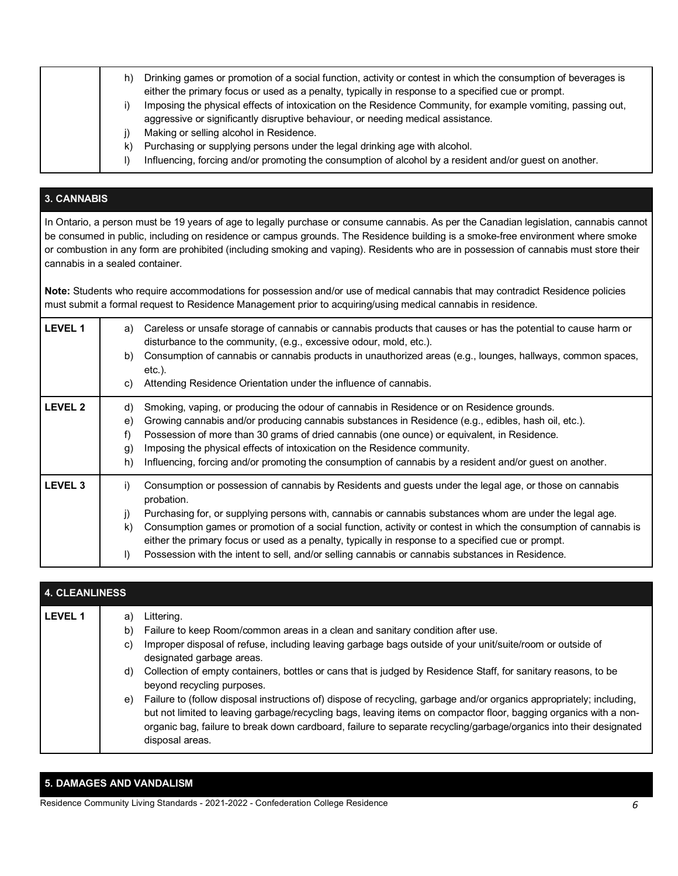| h) | Drinking games or promotion of a social function, activity or contest in which the consumption of beverages is<br>either the primary focus or used as a penalty, typically in response to a specified cue or prompt.<br>Imposing the physical effects of intoxication on the Residence Community, for example vomiting, passing out,<br>aggressive or significantly disruptive behaviour, or needing medical assistance. |
|----|--------------------------------------------------------------------------------------------------------------------------------------------------------------------------------------------------------------------------------------------------------------------------------------------------------------------------------------------------------------------------------------------------------------------------|
| k) | Making or selling alcohol in Residence.<br>Purchasing or supplying persons under the legal drinking age with alcohol.<br>Influencing, forcing and/or promoting the consumption of alcohol by a resident and/or guest on another.                                                                                                                                                                                         |

# **3. CANNABIS**

In Ontario, a person must be 19 years of age to legally purchase or consume cannabis. As per the Canadian legislation, cannabis cannot be consumed in public, including on residence or campus grounds. The Residence building is a smoke-free environment where smoke or combustion in any form are prohibited (including smoking and vaping). Residents who are in possession of cannabis must store their cannabis in a sealed container.

**Note:** Students who require accommodations for possession and/or use of medical cannabis that may contradict Residence policies must submit a formal request to Residence Management prior to acquiring/using medical cannabis in residence.

| <b>LEVEL 1</b>     | Careless or unsafe storage of cannabis or cannabis products that causes or has the potential to cause harm or<br>a)<br>disturbance to the community, (e.g., excessive odour, mold, etc.).<br>Consumption of cannabis or cannabis products in unauthorized areas (e.g., lounges, hallways, common spaces,<br>b)<br>$etc.$ ).<br>Attending Residence Orientation under the influence of cannabis.<br>C)                                                                                                                                                                                        |
|--------------------|----------------------------------------------------------------------------------------------------------------------------------------------------------------------------------------------------------------------------------------------------------------------------------------------------------------------------------------------------------------------------------------------------------------------------------------------------------------------------------------------------------------------------------------------------------------------------------------------|
| LEVEL <sub>2</sub> | Smoking, vaping, or producing the odour of cannabis in Residence or on Residence grounds.<br>d)<br>Growing cannabis and/or producing cannabis substances in Residence (e.g., edibles, hash oil, etc.).<br>e)<br>Possession of more than 30 grams of dried cannabis (one ounce) or equivalent, in Residence.<br>f)<br>Imposing the physical effects of intoxication on the Residence community.<br>$\mathfrak{g}$<br>Influencing, forcing and/or promoting the consumption of cannabis by a resident and/or guest on another.<br>h)                                                           |
| <b>LEVEL 3</b>     | Consumption or possession of cannabis by Residents and guests under the legal age, or those on cannabis<br>i)<br>probation.<br>Purchasing for, or supplying persons with, cannabis or cannabis substances whom are under the legal age.<br>j)<br>Consumption games or promotion of a social function, activity or contest in which the consumption of cannabis is<br>k)<br>either the primary focus or used as a penalty, typically in response to a specified cue or prompt.<br>Possession with the intent to sell, and/or selling cannabis or cannabis substances in Residence.<br>$\vert$ |

| <b>4. CLEANLINESS</b> |    |                                                                                                                      |  |
|-----------------------|----|----------------------------------------------------------------------------------------------------------------------|--|
| <b>LEVEL 1</b>        | a) | Littering.                                                                                                           |  |
|                       | b) | Failure to keep Room/common areas in a clean and sanitary condition after use.                                       |  |
|                       | C) | Improper disposal of refuse, including leaving garbage bags outside of your unit/suite/room or outside of            |  |
|                       |    | designated garbage areas.                                                                                            |  |
|                       | d) | Collection of empty containers, bottles or cans that is judged by Residence Staff, for sanitary reasons, to be       |  |
|                       |    | beyond recycling purposes.                                                                                           |  |
|                       | e) | Failure to (follow disposal instructions of) dispose of recycling, garbage and/or organics appropriately; including, |  |
|                       |    | but not limited to leaving garbage/recycling bags, leaving items on compactor floor, bagging organics with a non-    |  |
|                       |    | organic bag, failure to break down cardboard, failure to separate recycling/garbage/organics into their designated   |  |
|                       |    | disposal areas.                                                                                                      |  |

## **5. DAMAGES AND VANDALISM**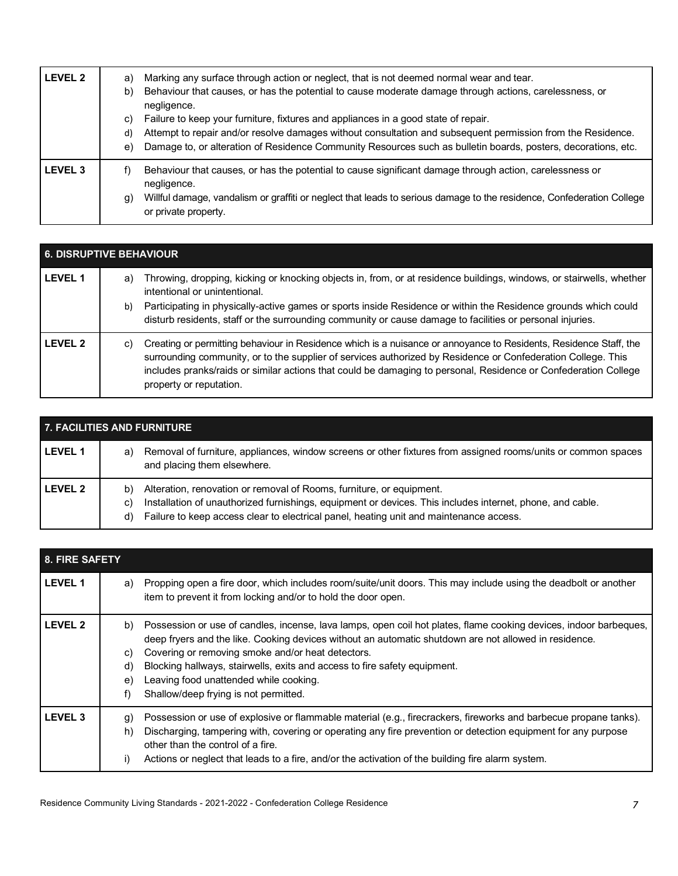| LEVEL 2            | Marking any surface through action or neglect, that is not deemed normal wear and tear.<br>a)<br>Behaviour that causes, or has the potential to cause moderate damage through actions, carelessness, or<br>b)<br>negligence.<br>Failure to keep your furniture, fixtures and appliances in a good state of repair.<br>C)<br>Attempt to repair and/or resolve damages without consultation and subsequent permission from the Residence.<br>d)<br>Damage to, or alteration of Residence Community Resources such as bulletin boards, posters, decorations, etc.<br>e) |
|--------------------|----------------------------------------------------------------------------------------------------------------------------------------------------------------------------------------------------------------------------------------------------------------------------------------------------------------------------------------------------------------------------------------------------------------------------------------------------------------------------------------------------------------------------------------------------------------------|
| LEVEL <sub>3</sub> | Behaviour that causes, or has the potential to cause significant damage through action, carelessness or<br>negligence.<br>Willful damage, vandalism or graffiti or neglect that leads to serious damage to the residence, Confederation College<br>g)<br>or private property.                                                                                                                                                                                                                                                                                        |

| <b>6. DISRUPTIVE BEHAVIOUR</b> |                                                                                                                                                                                                                                                                                                                                                                                                   |  |
|--------------------------------|---------------------------------------------------------------------------------------------------------------------------------------------------------------------------------------------------------------------------------------------------------------------------------------------------------------------------------------------------------------------------------------------------|--|
| <b>LEVEL 1</b>                 | Throwing, dropping, kicking or knocking objects in, from, or at residence buildings, windows, or stairwells, whether<br>a)<br>intentional or unintentional.<br>Participating in physically-active games or sports inside Residence or within the Residence grounds which could<br>b)<br>disturb residents, staff or the surrounding community or cause damage to facilities or personal injuries. |  |
| LEVEL 2                        | Creating or permitting behaviour in Residence which is a nuisance or annoyance to Residents, Residence Staff, the<br>C)<br>surrounding community, or to the supplier of services authorized by Residence or Confederation College. This<br>includes pranks/raids or similar actions that could be damaging to personal, Residence or Confederation College<br>property or reputation.             |  |

| <b>7. FACILITIES AND FURNITURE</b> |                                                                                                                                                                                                                                                                                               |  |
|------------------------------------|-----------------------------------------------------------------------------------------------------------------------------------------------------------------------------------------------------------------------------------------------------------------------------------------------|--|
| <b>LEVEL 1</b>                     | Removal of furniture, appliances, window screens or other fixtures from assigned rooms/units or common spaces<br>a)<br>and placing them elsewhere.                                                                                                                                            |  |
| <b>LEVEL 2</b>                     | Alteration, renovation or removal of Rooms, furniture, or equipment.<br>b)<br>Installation of unauthorized furnishings, equipment or devices. This includes internet, phone, and cable.<br>C)<br>Failure to keep access clear to electrical panel, heating unit and maintenance access.<br>d) |  |

| 8. FIRE SAFETY |                                                                                                                                                                                                                                                                                                                                                                                                                                                                               |  |  |
|----------------|-------------------------------------------------------------------------------------------------------------------------------------------------------------------------------------------------------------------------------------------------------------------------------------------------------------------------------------------------------------------------------------------------------------------------------------------------------------------------------|--|--|
| <b>LEVEL 1</b> | Propping open a fire door, which includes room/suite/unit doors. This may include using the deadbolt or another<br>a)<br>item to prevent it from locking and/or to hold the door open.                                                                                                                                                                                                                                                                                        |  |  |
| <b>LEVEL 2</b> | Possession or use of candles, incense, lava lamps, open coil hot plates, flame cooking devices, indoor barbeques,<br>b)<br>deep fryers and the like. Cooking devices without an automatic shutdown are not allowed in residence.<br>Covering or removing smoke and/or heat detectors.<br>C)<br>Blocking hallways, stairwells, exits and access to fire safety equipment.<br>d)<br>Leaving food unattended while cooking.<br>e)<br>Shallow/deep frying is not permitted.<br>f) |  |  |
| <b>LEVEL 3</b> | Possession or use of explosive or flammable material (e.g., firecrackers, fireworks and barbecue propane tanks).<br>g)<br>Discharging, tampering with, covering or operating any fire prevention or detection equipment for any purpose<br>h)<br>other than the control of a fire.<br>Actions or neglect that leads to a fire, and/or the activation of the building fire alarm system.<br>i)                                                                                 |  |  |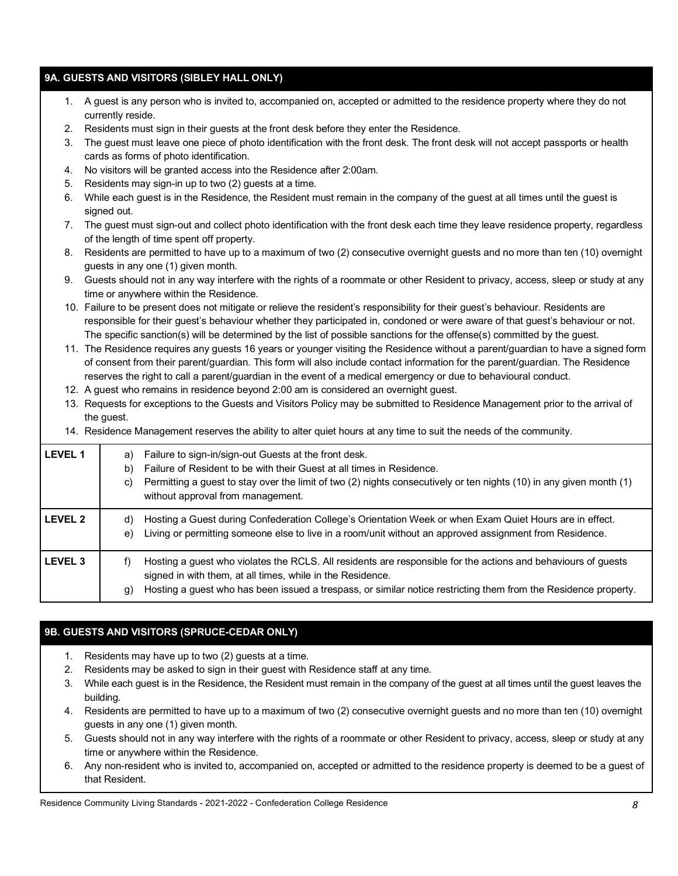## **9A. GUESTS AND VISITORS (SIBLEY HALL ONLY)**

- 1. A guest is any person who is invited to, accompanied on, accepted or admitted to the residence property where they do not currently reside.
- 2. Residents must sign in their guests at the front desk before they enter the Residence.
- 3. The guest must leave one piece of photo identification with the front desk. The front desk will not accept passports or health cards as forms of photo identification.
- 4. No visitors will be granted access into the Residence after 2:00am.
- 5. Residents may sign-in up to two (2) guests at a time.
- 6. While each guest is in the Residence, the Resident must remain in the company of the guest at all times until the guest is signed out.
- 7. The guest must sign-out and collect photo identification with the front desk each time they leave residence property, regardless of the length of time spent off property.
- 8. Residents are permitted to have up to a maximum of two (2) consecutive overnight guests and no more than ten (10) overnight guests in any one (1) given month.
- 9. Guests should not in any way interfere with the rights of a roommate or other Resident to privacy, access, sleep or study at any time or anywhere within the Residence.
- 10. Failure to be present does not mitigate or relieve the resident's responsibility for their guest's behaviour. Residents are responsible for their guest's behaviour whether they participated in, condoned or were aware of that guest's behaviour or not. The specific sanction(s) will be determined by the list of possible sanctions for the offense(s) committed by the guest.
- 11. The Residence requires any guests 16 years or younger visiting the Residence without a parent/guardian to have a signed form of consent from their parent/guardian. This form will also include contact information for the parent/guardian. The Residence reserves the right to call a parent/guardian in the event of a medical emergency or due to behavioural conduct.
- 12. A guest who remains in residence beyond 2:00 am is considered an overnight guest.
- 13. Requests for exceptions to the Guests and Visitors Policy may be submitted to Residence Management prior to the arrival of the quest.
- 14. Residence Management reserves the ability to alter quiet hours at any time to suit the needs of the community.

| <b>LEVEL 1</b> | Failure to sign-in/sign-out Guests at the front desk.<br>a)<br>Failure of Resident to be with their Guest at all times in Residence.<br>b)<br>Permitting a guest to stay over the limit of two (2) nights consecutively or ten nights (10) in any given month (1)<br>C)<br>without approval from management. |
|----------------|--------------------------------------------------------------------------------------------------------------------------------------------------------------------------------------------------------------------------------------------------------------------------------------------------------------|
| <b>LEVEL 2</b> | Hosting a Guest during Confederation College's Orientation Week or when Exam Quiet Hours are in effect.<br>d)<br>Living or permitting someone else to live in a room/unit without an approved assignment from Residence.<br>e)                                                                               |
| <b>LEVEL 3</b> | Hosting a guest who violates the RCLS. All residents are responsible for the actions and behaviours of guests<br>f)<br>signed in with them, at all times, while in the Residence.<br>Hosting a guest who has been issued a trespass, or similar notice restricting them from the Residence property.<br>g)   |

#### **9B. GUESTS AND VISITORS (SPRUCE-CEDAR ONLY)**

- 1. Residents may have up to two (2) guests at a time.
- 2. Residents may be asked to sign in their guest with Residence staff at any time.
- 3. While each guest is in the Residence, the Resident must remain in the company of the guest at all times until the guest leaves the building.
- 4. Residents are permitted to have up to a maximum of two (2) consecutive overnight guests and no more than ten (10) overnight guests in any one (1) given month.
- 5. Guests should not in any way interfere with the rights of a roommate or other Resident to privacy, access, sleep or study at any time or anywhere within the Residence.
- 6. Any non-resident who is invited to, accompanied on, accepted or admitted to the residence property is deemed to be a guest of that Resident.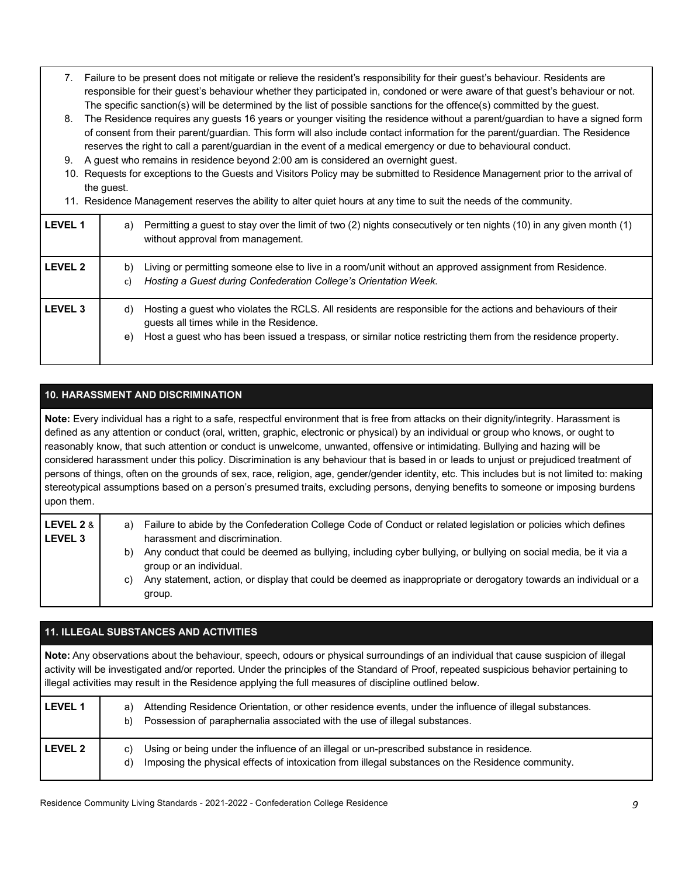- 7. Failure to be present does not mitigate or relieve the resident's responsibility for their guest's behaviour. Residents are responsible for their guest's behaviour whether they participated in, condoned or were aware of that guest's behaviour or not. The specific sanction(s) will be determined by the list of possible sanctions for the offence(s) committed by the guest.
- 8. The Residence requires any guests 16 years or younger visiting the residence without a parent/guardian to have a signed form of consent from their parent/guardian. This form will also include contact information for the parent/guardian. The Residence reserves the right to call a parent/guardian in the event of a medical emergency or due to behavioural conduct.
- 9. A guest who remains in residence beyond 2:00 am is considered an overnight guest.
- 10. Requests for exceptions to the Guests and Visitors Policy may be submitted to Residence Management prior to the arrival of the guest.
- 11. Residence Management reserves the ability to alter quiet hours at any time to suit the needs of the community.

| <b>LEVEL 1</b> | Permitting a guest to stay over the limit of two (2) nights consecutively or ten nights (10) in any given month (1)<br>a)<br>without approval from management.                                                                                                                       |
|----------------|--------------------------------------------------------------------------------------------------------------------------------------------------------------------------------------------------------------------------------------------------------------------------------------|
| <b>LEVEL 2</b> | Living or permitting someone else to live in a room/unit without an approved assignment from Residence.<br>b)<br>Hosting a Guest during Confederation College's Orientation Week.<br>C)                                                                                              |
| <b>LEVEL 3</b> | Hosting a guest who violates the RCLS. All residents are responsible for the actions and behaviours of their<br>d)<br>guests all times while in the Residence.<br>Host a guest who has been issued a trespass, or similar notice restricting them from the residence property.<br>e) |

## **10. HARASSMENT AND DISCRIMINATION**

**Note:** Every individual has a right to a safe, respectful environment that is free from attacks on their dignity/integrity. Harassment is defined as any attention or conduct (oral, written, graphic, electronic or physical) by an individual or group who knows, or ought to reasonably know, that such attention or conduct is unwelcome, unwanted, offensive or intimidating. Bullying and hazing will be considered harassment under this policy. Discrimination is any behaviour that is based in or leads to unjust or prejudiced treatment of persons of things, often on the grounds of sex, race, religion, age, gender/gender identity, etc. This includes but is not limited to: making stereotypical assumptions based on a person's presumed traits, excluding persons, denying benefits to someone or imposing burdens upon them.

| LEVEL 2 & I    | a) | Failure to abide by the Confederation College Code of Conduct or related legislation or policies which defines                              |
|----------------|----|---------------------------------------------------------------------------------------------------------------------------------------------|
| <b>LEVEL 3</b> |    | harassment and discrimination.                                                                                                              |
|                | b) | Any conduct that could be deemed as bullying, including cyber bullying, or bullying on social media, be it via a<br>group or an individual. |
|                | C) | Any statement, action, or display that could be deemed as inappropriate or derogatory towards an individual or a<br>group.                  |

## **11. ILLEGAL SUBSTANCES AND ACTIVITIES**

**Note:** Any observations about the behaviour, speech, odours or physical surroundings of an individual that cause suspicion of illegal activity will be investigated and/or reported. Under the principles of the Standard of Proof, repeated suspicious behavior pertaining to illegal activities may result in the Residence applying the full measures of discipline outlined below.

| <b>LEVEL 1</b> | Attending Residence Orientation, or other residence events, under the influence of illegal substances.<br>a)<br>Possession of paraphernalia associated with the use of illegal substances.<br>b)           |
|----------------|------------------------------------------------------------------------------------------------------------------------------------------------------------------------------------------------------------|
| <b>LEVEL 2</b> | Using or being under the influence of an illegal or un-prescribed substance in residence.<br>C)<br>Imposing the physical effects of intoxication from illegal substances on the Residence community.<br>d) |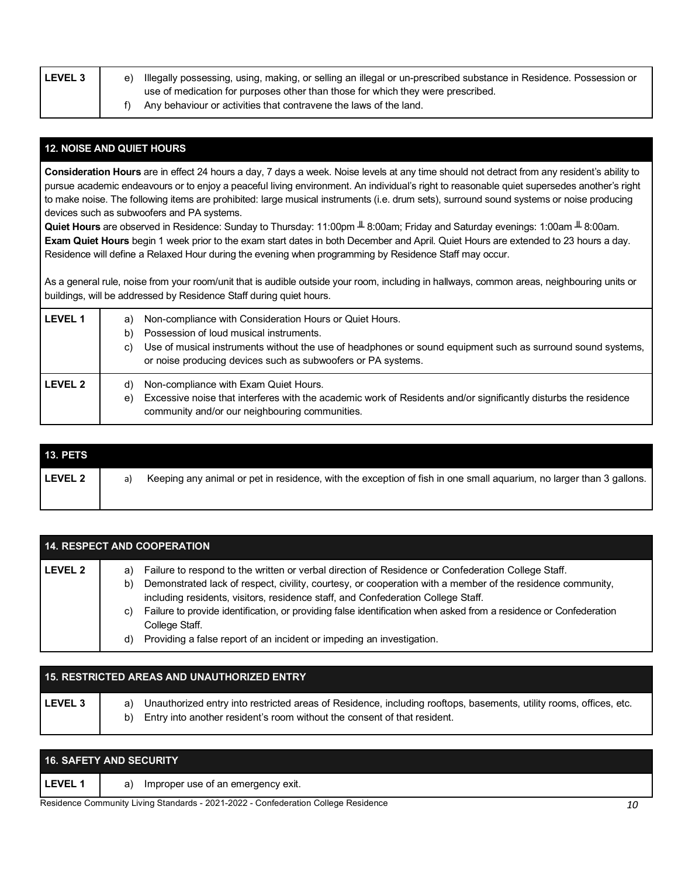| <b>LEVEL 3</b> | e) | Illegally possessing, using, making, or selling an illegal or un-prescribed substance in Residence. Possession or |
|----------------|----|-------------------------------------------------------------------------------------------------------------------|
|                |    | use of medication for purposes other than those for which they were prescribed.                                   |
|                |    | Any behaviour or activities that contravene the laws of the land.                                                 |

## **12. NOISE AND QUIET HOURS**

**Consideration Hours** are in effect 24 hours a day, 7 days a week. Noise levels at any time should not detract from any resident's ability to pursue academic endeavours or to enjoy a peaceful living environment. An individual's right to reasonable quiet supersedes another's right to make noise. The following items are prohibited: large musical instruments (i.e. drum sets), surround sound systems or noise producing devices such as subwoofers and PA systems.

**Quiet Hours** are observed in Residence: Sunday to Thursday: 11:00pm ╨ 8:00am; Friday and Saturday evenings: 1:00am ╨ 8:00am. **Exam Quiet Hours** begin 1 week prior to the exam start dates in both December and April. Quiet Hours are extended to 23 hours a day. Residence will define a Relaxed Hour during the evening when programming by Residence Staff may occur.

As a general rule, noise from your room/unit that is audible outside your room, including in hallways, common areas, neighbouring units or buildings, will be addressed by Residence Staff during quiet hours.

| <b>LEVEL 1</b> | Non-compliance with Consideration Hours or Quiet Hours.<br>a)<br>Possession of loud musical instruments.<br>b)<br>Use of musical instruments without the use of headphones or sound equipment such as surround sound systems,<br>C)<br>or noise producing devices such as subwoofers or PA systems. |
|----------------|-----------------------------------------------------------------------------------------------------------------------------------------------------------------------------------------------------------------------------------------------------------------------------------------------------|
| LEVEL 2        | Non-compliance with Exam Quiet Hours.<br>d)<br>Excessive noise that interferes with the academic work of Residents and/or significantly disturbs the residence<br>e)<br>community and/or our neighbouring communities.                                                                              |

| <b>13. PETS</b> |    |                                                                                                                     |
|-----------------|----|---------------------------------------------------------------------------------------------------------------------|
| l LEVEL 2       | a) | Keeping any animal or pet in residence, with the exception of fish in one small aguarium, no larger than 3 gallons. |
|                 |    |                                                                                                                     |

| <b>14. RESPECT AND COOPERATION</b> |                                                                                                                                                                                                                                                                                                                                                                                                                                                                                                                                              |  |
|------------------------------------|----------------------------------------------------------------------------------------------------------------------------------------------------------------------------------------------------------------------------------------------------------------------------------------------------------------------------------------------------------------------------------------------------------------------------------------------------------------------------------------------------------------------------------------------|--|
| LEVEL 2                            | Failure to respond to the written or verbal direction of Residence or Confederation College Staff.<br>a)<br>Demonstrated lack of respect, civility, courtesy, or cooperation with a member of the residence community,<br>b)<br>including residents, visitors, residence staff, and Confederation College Staff.<br>Failure to provide identification, or providing false identification when asked from a residence or Confederation<br>C)<br>College Staff.<br>Providing a false report of an incident or impeding an investigation.<br>d) |  |

|                | 15. RESTRICTED AREAS AND UNAUTHORIZED ENTRY                                                                                                                                                                |
|----------------|------------------------------------------------------------------------------------------------------------------------------------------------------------------------------------------------------------|
| <b>LEVEL 3</b> | Unauthorized entry into restricted areas of Residence, including rooftops, basements, utility rooms, offices, etc.<br>a)<br>Entry into another resident's room without the consent of that resident.<br>b) |

|              | <b>16. SAFETY AND SECURITY</b>           |  |
|--------------|------------------------------------------|--|
| <b>LEVEL</b> | Improper use of an emergency exit.<br>a) |  |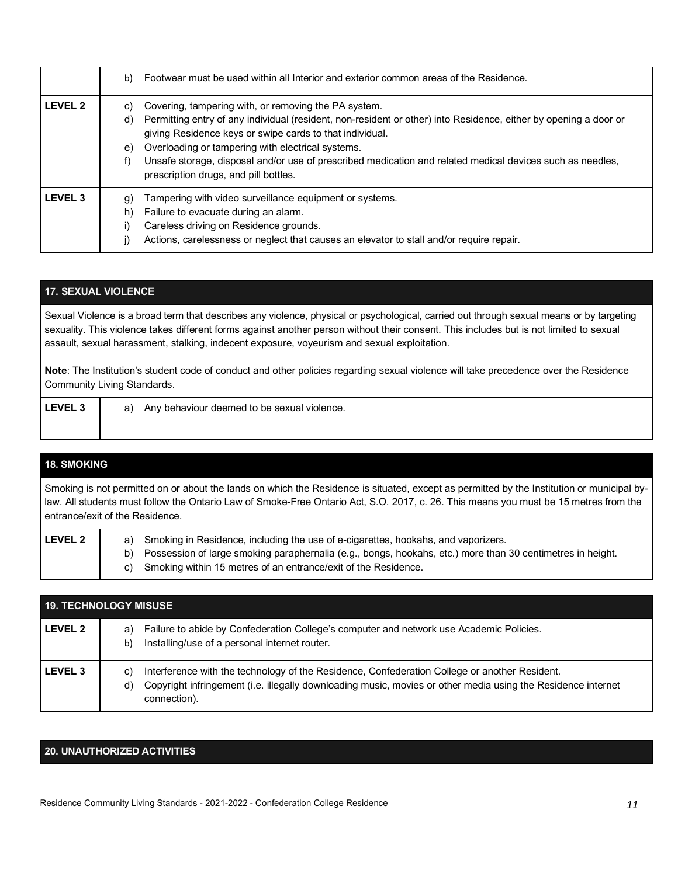|                | Footwear must be used within all Interior and exterior common areas of the Residence.<br>b)                                                                                                                                                                                                                                                                                                                                                                             |
|----------------|-------------------------------------------------------------------------------------------------------------------------------------------------------------------------------------------------------------------------------------------------------------------------------------------------------------------------------------------------------------------------------------------------------------------------------------------------------------------------|
| <b>LEVEL 2</b> | Covering, tampering with, or removing the PA system.<br>C)<br>Permitting entry of any individual (resident, non-resident or other) into Residence, either by opening a door or<br>d)<br>giving Residence keys or swipe cards to that individual.<br>Overloading or tampering with electrical systems.<br>e)<br>Unsafe storage, disposal and/or use of prescribed medication and related medical devices such as needles,<br>f)<br>prescription drugs, and pill bottles. |
| <b>LEVEL 3</b> | Tampering with video surveillance equipment or systems.<br>g)<br>Failure to evacuate during an alarm.<br>h)<br>Careless driving on Residence grounds.<br>i)<br>Actions, carelessness or neglect that causes an elevator to stall and/or require repair.                                                                                                                                                                                                                 |

## **17. SEXUAL VIOLENCE**

Sexual Violence is a broad term that describes any violence, physical or psychological, carried out through sexual means or by targeting sexuality. This violence takes different forms against another person without their consent. This includes but is not limited to sexual assault, sexual harassment, stalking, indecent exposure, voyeurism and sexual exploitation.

**Note**: The Institution's student code of conduct and other policies regarding sexual violence will take precedence over the Residence Community Living Standards.

**LEVEL 3** a) Any behaviour deemed to be sexual violence.

## **18. SMOKING**

Smoking is not permitted on or about the lands on which the Residence is situated, except as permitted by the Institution or municipal bylaw. All students must follow the Ontario Law of Smoke-Free Ontario Act, S.O. 2017, c. 26. This means you must be 15 metres from the entrance/exit of the Residence.

| <b>LEVEL 2</b> | a) Smoking in Residence, including the use of e-cigarettes, hookahs, and vaporizers.                          |
|----------------|---------------------------------------------------------------------------------------------------------------|
|                | b) Possession of large smoking paraphernalia (e.g., bongs, hookahs, etc.) more than 30 centimetres in height. |
|                | c) Smoking within 15 metres of an entrance/exit of the Residence.                                             |

| <b>19. TECHNOLOGY MISUSE</b> |                                                                                                                                                                                                                                           |  |
|------------------------------|-------------------------------------------------------------------------------------------------------------------------------------------------------------------------------------------------------------------------------------------|--|
| l LEVEL 2                    | Failure to abide by Confederation College's computer and network use Academic Policies.<br>a)<br>Installing/use of a personal internet router.<br>b)                                                                                      |  |
| l LEVEL 3                    | Interference with the technology of the Residence, Confederation College or another Resident.<br>C)<br>Copyright infringement (i.e. illegally downloading music, movies or other media using the Residence internet<br>d)<br>connection). |  |

#### **20. UNAUTHORIZED ACTIVITIES**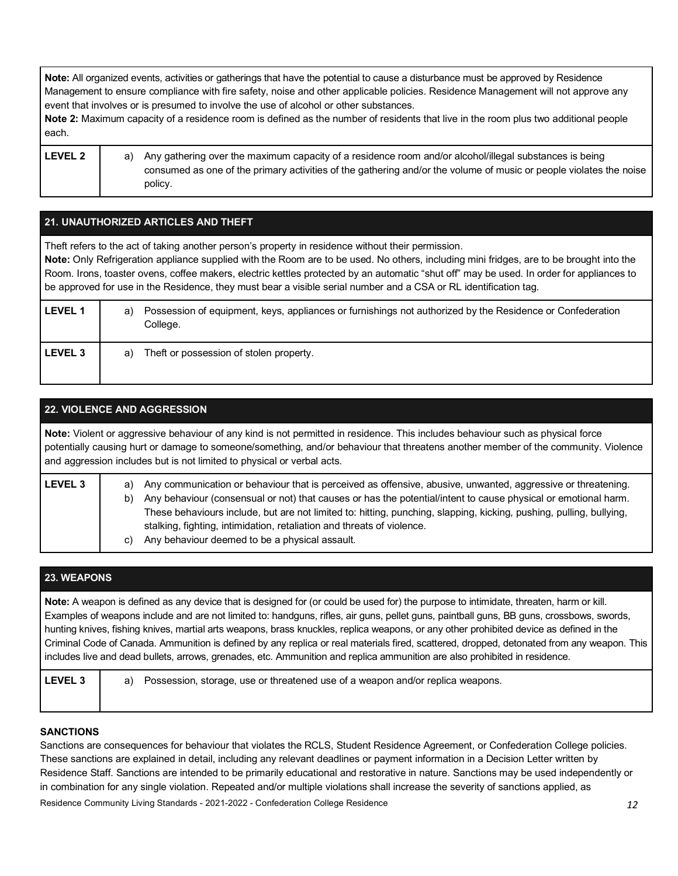**Note:** All organized events, activities or gatherings that have the potential to cause a disturbance must be approved by Residence Management to ensure compliance with fire safety, noise and other applicable policies. Residence Management will not approve any event that involves or is presumed to involve the use of alcohol or other substances.

**Note 2:** Maximum capacity of a residence room is defined as the number of residents that live in the room plus two additional people each.

LEVEL 2 a) Any gathering over the maximum capacity of a residence room and/or alcohol/illegal substances is being consumed as one of the primary activities of the gathering and/or the volume of music or people violates the noise policy.

| 21. UNAUTHORIZED ARTICLES AND THEFT |                                                                                                                                                                                                                                                                                                                                                                                                                                                                                                               |  |  |
|-------------------------------------|---------------------------------------------------------------------------------------------------------------------------------------------------------------------------------------------------------------------------------------------------------------------------------------------------------------------------------------------------------------------------------------------------------------------------------------------------------------------------------------------------------------|--|--|
|                                     | Theft refers to the act of taking another person's property in residence without their permission.<br>Note: Only Refrigeration appliance supplied with the Room are to be used. No others, including mini fridges, are to be brought into the<br>Room. Irons, toaster ovens, coffee makers, electric kettles protected by an automatic "shut off" may be used. In order for appliances to<br>be approved for use in the Residence, they must bear a visible serial number and a CSA or RL identification tag. |  |  |
| <b>LEVEL 1</b>                      | Possession of equipment, keys, appliances or furnishings not authorized by the Residence or Confederation<br>a)<br>College.                                                                                                                                                                                                                                                                                                                                                                                   |  |  |
| <b>LEVEL 3</b>                      | Theft or possession of stolen property.<br>a)                                                                                                                                                                                                                                                                                                                                                                                                                                                                 |  |  |

| <b>22. VIOLENCE AND AGGRESSION</b>                                                                                                                                                                                                                                                                                                              |                                                                                                                                                                                                                                                                                                                                                                                                                                                                                                     |  |  |  |
|-------------------------------------------------------------------------------------------------------------------------------------------------------------------------------------------------------------------------------------------------------------------------------------------------------------------------------------------------|-----------------------------------------------------------------------------------------------------------------------------------------------------------------------------------------------------------------------------------------------------------------------------------------------------------------------------------------------------------------------------------------------------------------------------------------------------------------------------------------------------|--|--|--|
| Note: Violent or aggressive behaviour of any kind is not permitted in residence. This includes behaviour such as physical force<br>potentially causing hurt or damage to someone/something, and/or behaviour that threatens another member of the community. Violence<br>and aggression includes but is not limited to physical or verbal acts. |                                                                                                                                                                                                                                                                                                                                                                                                                                                                                                     |  |  |  |
| <b>LEVEL 3</b>                                                                                                                                                                                                                                                                                                                                  | Any communication or behaviour that is perceived as offensive, abusive, unwanted, aggressive or threatening.<br>a)<br>Any behaviour (consensual or not) that causes or has the potential/intent to cause physical or emotional harm.<br>b)<br>These behaviours include, but are not limited to: hitting, punching, slapping, kicking, pushing, pulling, bullying,<br>stalking, fighting, intimidation, retaliation and threats of violence.<br>Any behaviour deemed to be a physical assault.<br>C) |  |  |  |

| <b>23. WEAPONS</b> |                                                                                                                                                                                                                                                                                                                                                                                                                                                                                                                                                                                                                                                                                                           |  |  |  |
|--------------------|-----------------------------------------------------------------------------------------------------------------------------------------------------------------------------------------------------------------------------------------------------------------------------------------------------------------------------------------------------------------------------------------------------------------------------------------------------------------------------------------------------------------------------------------------------------------------------------------------------------------------------------------------------------------------------------------------------------|--|--|--|
|                    | Note: A weapon is defined as any device that is designed for (or could be used for) the purpose to intimidate, threaten, harm or kill.<br>Examples of weapons include and are not limited to: handguns, rifles, air guns, pellet guns, paintball guns, BB guns, crossbows, swords,<br>hunting knives, fishing knives, martial arts weapons, brass knuckles, replica weapons, or any other prohibited device as defined in the<br>Criminal Code of Canada. Ammunition is defined by any replica or real materials fired, scattered, dropped, detonated from any weapon. This<br>includes live and dead bullets, arrows, grenades, etc. Ammunition and replica ammunition are also prohibited in residence. |  |  |  |
| <b>LEVEL 3</b>     | Possession, storage, use or threatened use of a weapon and/or replica weapons.<br>a)                                                                                                                                                                                                                                                                                                                                                                                                                                                                                                                                                                                                                      |  |  |  |

## **SANCTIONS**

Residence Community Living Standards - 2021-2022 - Confederation College Residence *12* Sanctions are consequences for behaviour that violates the RCLS, Student Residence Agreement, or Confederation College policies. These sanctions are explained in detail, including any relevant deadlines or payment information in a Decision Letter written by Residence Staff. Sanctions are intended to be primarily educational and restorative in nature. Sanctions may be used independently or in combination for any single violation. Repeated and/or multiple violations shall increase the severity of sanctions applied, as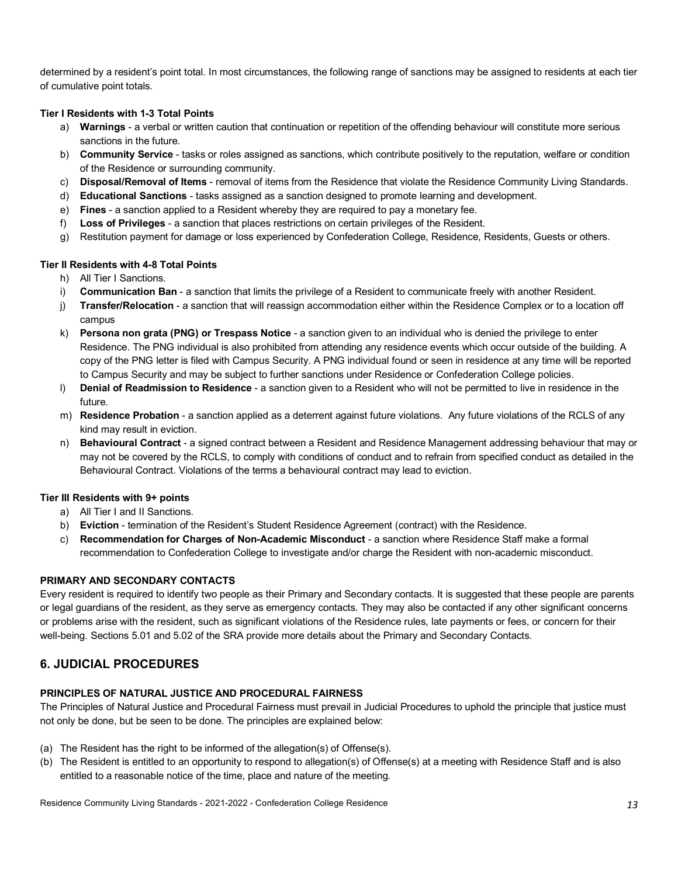determined by a resident's point total. In most circumstances, the following range of sanctions may be assigned to residents at each tier of cumulative point totals.

#### **Tier I Residents with 1-3 Total Points**

- a) **Warnings** a verbal or written caution that continuation or repetition of the offending behaviour will constitute more serious sanctions in the future.
- b) **Community Service** tasks or roles assigned as sanctions, which contribute positively to the reputation, welfare or condition of the Residence or surrounding community.
- c) **Disposal/Removal of Items** removal of items from the Residence that violate the Residence Community Living Standards.
- d) **Educational Sanctions** tasks assigned as a sanction designed to promote learning and development.
- e) **Fines** a sanction applied to a Resident whereby they are required to pay a monetary fee.
- f) **Loss of Privileges** a sanction that places restrictions on certain privileges of the Resident.
- g) Restitution payment for damage or loss experienced by Confederation College, Residence, Residents, Guests or others.

### **Tier II Residents with 4-8 Total Points**

- h) All Tier I Sanctions.
- i) **Communication Ban** a sanction that limits the privilege of a Resident to communicate freely with another Resident.
- j) **Transfer/Relocation** a sanction that will reassign accommodation either within the Residence Complex or to a location off campus
- k) **Persona non grata (PNG) or Trespass Notice** a sanction given to an individual who is denied the privilege to enter Residence. The PNG individual is also prohibited from attending any residence events which occur outside of the building. A copy of the PNG letter is filed with Campus Security. A PNG individual found or seen in residence at any time will be reported to Campus Security and may be subject to further sanctions under Residence or Confederation College policies.
- l) **Denial of Readmission to Residence** a sanction given to a Resident who will not be permitted to live in residence in the future.
- m) **Residence Probation** a sanction applied as a deterrent against future violations. Any future violations of the RCLS of any kind may result in eviction.
- n) **Behavioural Contract** a signed contract between a Resident and Residence Management addressing behaviour that may or may not be covered by the RCLS, to comply with conditions of conduct and to refrain from specified conduct as detailed in the Behavioural Contract. Violations of the terms a behavioural contract may lead to eviction.

#### **Tier III Residents with 9+ points**

- a) All Tier I and II Sanctions.
- b) **Eviction** termination of the Resident's Student Residence Agreement (contract) with the Residence.
- c) **Recommendation for Charges of Non-Academic Misconduct** a sanction where Residence Staff make a formal recommendation to Confederation College to investigate and/or charge the Resident with non-academic misconduct.

## **PRIMARY AND SECONDARY CONTACTS**

Every resident is required to identify two people as their Primary and Secondary contacts. It is suggested that these people are parents or legal guardians of the resident, as they serve as emergency contacts. They may also be contacted if any other significant concerns or problems arise with the resident, such as significant violations of the Residence rules, late payments or fees, or concern for their well-being. Sections 5.01 and 5.02 of the SRA provide more details about the Primary and Secondary Contacts.

## **6. JUDICIAL PROCEDURES**

#### **PRINCIPLES OF NATURAL JUSTICE AND PROCEDURAL FAIRNESS**

The Principles of Natural Justice and Procedural Fairness must prevail in Judicial Procedures to uphold the principle that justice must not only be done, but be seen to be done. The principles are explained below:

- (a) The Resident has the right to be informed of the allegation(s) of Offense(s).
- (b) The Resident is entitled to an opportunity to respond to allegation(s) of Offense(s) at a meeting with Residence Staff and is also entitled to a reasonable notice of the time, place and nature of the meeting.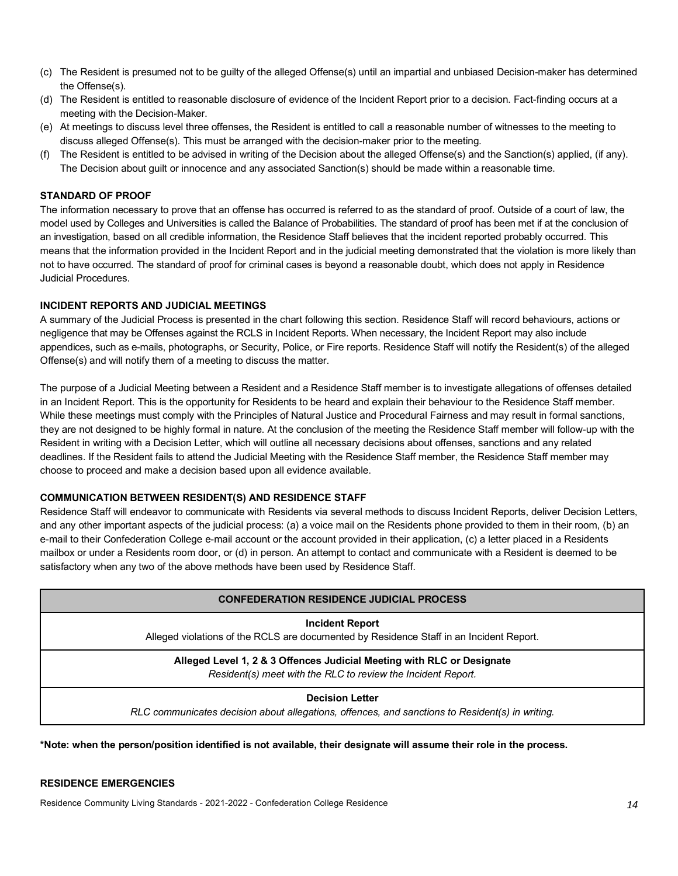- (c) The Resident is presumed not to be guilty of the alleged Offense(s) until an impartial and unbiased Decision-maker has determined the Offense(s).
- (d) The Resident is entitled to reasonable disclosure of evidence of the Incident Report prior to a decision. Fact-finding occurs at a meeting with the Decision-Maker.
- (e) At meetings to discuss level three offenses, the Resident is entitled to call a reasonable number of witnesses to the meeting to discuss alleged Offense(s). This must be arranged with the decision-maker prior to the meeting.
- (f) The Resident is entitled to be advised in writing of the Decision about the alleged Offense(s) and the Sanction(s) applied, (if any). The Decision about guilt or innocence and any associated Sanction(s) should be made within a reasonable time.

#### **STANDARD OF PROOF**

The information necessary to prove that an offense has occurred is referred to as the standard of proof. Outside of a court of law, the model used by Colleges and Universities is called the Balance of Probabilities. The standard of proof has been met if at the conclusion of an investigation, based on all credible information, the Residence Staff believes that the incident reported probably occurred. This means that the information provided in the Incident Report and in the judicial meeting demonstrated that the violation is more likely than not to have occurred. The standard of proof for criminal cases is beyond a reasonable doubt, which does not apply in Residence Judicial Procedures.

#### **INCIDENT REPORTS AND JUDICIAL MEETINGS**

A summary of the Judicial Process is presented in the chart following this section. Residence Staff will record behaviours, actions or negligence that may be Offenses against the RCLS in Incident Reports. When necessary, the Incident Report may also include appendices, such as e-mails, photographs, or Security, Police, or Fire reports. Residence Staff will notify the Resident(s) of the alleged Offense(s) and will notify them of a meeting to discuss the matter.

The purpose of a Judicial Meeting between a Resident and a Residence Staff member is to investigate allegations of offenses detailed in an Incident Report. This is the opportunity for Residents to be heard and explain their behaviour to the Residence Staff member. While these meetings must comply with the Principles of Natural Justice and Procedural Fairness and may result in formal sanctions, they are not designed to be highly formal in nature. At the conclusion of the meeting the Residence Staff member will follow-up with the Resident in writing with a Decision Letter, which will outline all necessary decisions about offenses, sanctions and any related deadlines. If the Resident fails to attend the Judicial Meeting with the Residence Staff member, the Residence Staff member may choose to proceed and make a decision based upon all evidence available.

#### **COMMUNICATION BETWEEN RESIDENT(S) AND RESIDENCE STAFF**

Residence Staff will endeavor to communicate with Residents via several methods to discuss Incident Reports, deliver Decision Letters, and any other important aspects of the judicial process: (a) a voice mail on the Residents phone provided to them in their room, (b) an e-mail to their Confederation College e-mail account or the account provided in their application, (c) a letter placed in a Residents mailbox or under a Residents room door, or (d) in person. An attempt to contact and communicate with a Resident is deemed to be satisfactory when any two of the above methods have been used by Residence Staff.

| <b>CONFEDERATION RESIDENCE JUDICIAL PROCESS</b>                                                                                        |  |  |
|----------------------------------------------------------------------------------------------------------------------------------------|--|--|
| <b>Incident Report</b><br>Alleged violations of the RCLS are documented by Residence Staff in an Incident Report.                      |  |  |
| Alleged Level 1, 2 & 3 Offences Judicial Meeting with RLC or Designate<br>Resident(s) meet with the RLC to review the Incident Report. |  |  |
| <b>Decision Letter</b><br>RLC communicates decision about allegations, offences, and sanctions to Resident(s) in writing.              |  |  |

**\*Note: when the person/position identified is not available, their designate will assume their role in the process.**

#### **RESIDENCE EMERGENCIES**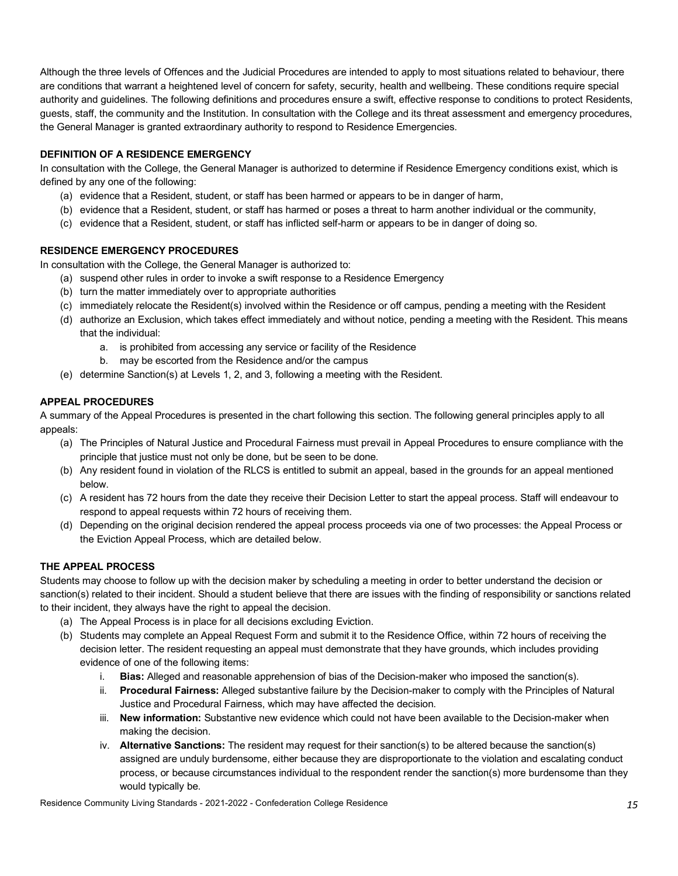Although the three levels of Offences and the Judicial Procedures are intended to apply to most situations related to behaviour, there are conditions that warrant a heightened level of concern for safety, security, health and wellbeing. These conditions require special authority and guidelines. The following definitions and procedures ensure a swift, effective response to conditions to protect Residents, guests, staff, the community and the Institution. In consultation with the College and its threat assessment and emergency procedures, the General Manager is granted extraordinary authority to respond to Residence Emergencies.

### **DEFINITION OF A RESIDENCE EMERGENCY**

In consultation with the College, the General Manager is authorized to determine if Residence Emergency conditions exist, which is defined by any one of the following:

- (a) evidence that a Resident, student, or staff has been harmed or appears to be in danger of harm,
- (b) evidence that a Resident, student, or staff has harmed or poses a threat to harm another individual or the community,
- (c) evidence that a Resident, student, or staff has inflicted self-harm or appears to be in danger of doing so.

### **RESIDENCE EMERGENCY PROCEDURES**

In consultation with the College, the General Manager is authorized to:

- (a) suspend other rules in order to invoke a swift response to a Residence Emergency
- (b) turn the matter immediately over to appropriate authorities
- (c) immediately relocate the Resident(s) involved within the Residence or off campus, pending a meeting with the Resident
- (d) authorize an Exclusion, which takes effect immediately and without notice, pending a meeting with the Resident. This means that the individual:
	- a. is prohibited from accessing any service or facility of the Residence
	- b. may be escorted from the Residence and/or the campus
- (e) determine Sanction(s) at Levels 1, 2, and 3, following a meeting with the Resident.

### **APPEAL PROCEDURES**

A summary of the Appeal Procedures is presented in the chart following this section. The following general principles apply to all appeals:

- (a) The Principles of Natural Justice and Procedural Fairness must prevail in Appeal Procedures to ensure compliance with the principle that justice must not only be done, but be seen to be done.
- (b) Any resident found in violation of the RLCS is entitled to submit an appeal, based in the grounds for an appeal mentioned below.
- (c) A resident has 72 hours from the date they receive their Decision Letter to start the appeal process. Staff will endeavour to respond to appeal requests within 72 hours of receiving them.
- (d) Depending on the original decision rendered the appeal process proceeds via one of two processes: the Appeal Process or the Eviction Appeal Process, which are detailed below.

## **THE APPEAL PROCESS**

Students may choose to follow up with the decision maker by scheduling a meeting in order to better understand the decision or sanction(s) related to their incident. Should a student believe that there are issues with the finding of responsibility or sanctions related to their incident, they always have the right to appeal the decision.

- (a) The Appeal Process is in place for all decisions excluding Eviction.
- (b) Students may complete an Appeal Request Form and submit it to the Residence Office, within 72 hours of receiving the decision letter. The resident requesting an appeal must demonstrate that they have grounds, which includes providing evidence of one of the following items:
	- i. **Bias:** Alleged and reasonable apprehension of bias of the Decision-maker who imposed the sanction(s).
	- ii. **Procedural Fairness:** Alleged substantive failure by the Decision-maker to comply with the Principles of Natural Justice and Procedural Fairness, which may have affected the decision.
	- iii. **New information:** Substantive new evidence which could not have been available to the Decision-maker when making the decision.
	- iv. **Alternative Sanctions:** The resident may request for their sanction(s) to be altered because the sanction(s) assigned are unduly burdensome, either because they are disproportionate to the violation and escalating conduct process, or because circumstances individual to the respondent render the sanction(s) more burdensome than they would typically be.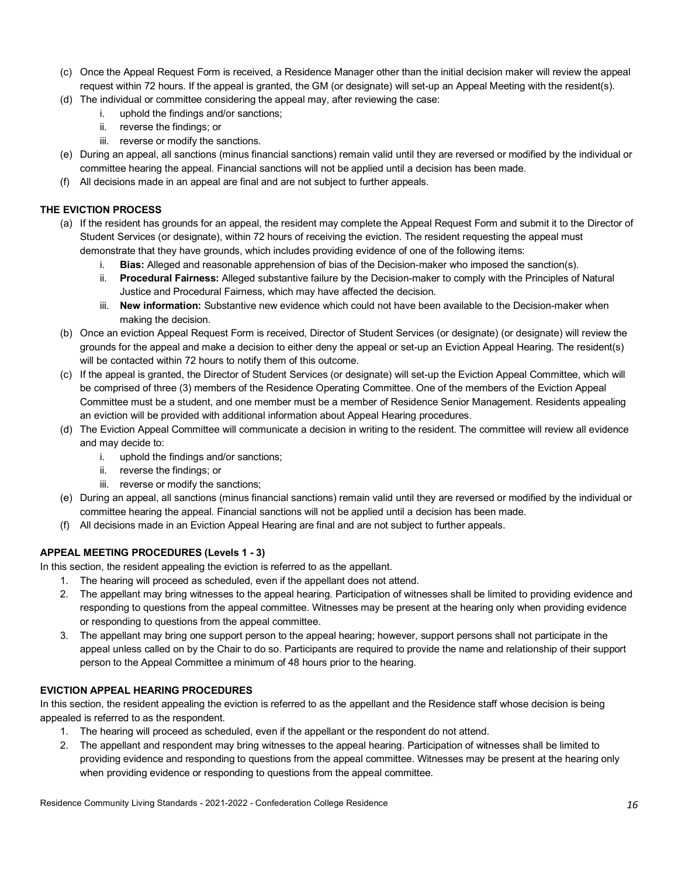- (c) Once the Appeal Request Form is received, a Residence Manager other than the initial decision maker will review the appeal request within 72 hours. If the appeal is granted, the GM (or designate) will set-up an Appeal Meeting with the resident(s).
- (d) The individual or committee considering the appeal may, after reviewing the case:
	- i. uphold the findings and/or sanctions;
	- ii. reverse the findings; or
	- iii. reverse or modify the sanctions.
- (e) During an appeal, all sanctions (minus financial sanctions) remain valid until they are reversed or modified by the individual or committee hearing the appeal. Financial sanctions will not be applied until a decision has been made.
- (f) All decisions made in an appeal are final and are not subject to further appeals.

### **THE EVICTION PROCESS**

- (a) If the resident has grounds for an appeal, the resident may complete the Appeal Request Form and submit it to the Director of Student Services (or designate), within 72 hours of receiving the eviction. The resident requesting the appeal must demonstrate that they have grounds, which includes providing evidence of one of the following items:
	- i. **Bias:** Alleged and reasonable apprehension of bias of the Decision-maker who imposed the sanction(s).
	- ii. **Procedural Fairness:** Alleged substantive failure by the Decision-maker to comply with the Principles of Natural Justice and Procedural Fairness, which may have affected the decision.
	- iii. **New information:** Substantive new evidence which could not have been available to the Decision-maker when making the decision.
- (b) Once an eviction Appeal Request Form is received, Director of Student Services (or designate) (or designate) will review the grounds for the appeal and make a decision to either deny the appeal or set-up an Eviction Appeal Hearing. The resident(s) will be contacted within 72 hours to notify them of this outcome.
- (c) If the appeal is granted, the Director of Student Services (or designate) will set-up the Eviction Appeal Committee, which will be comprised of three (3) members of the Residence Operating Committee. One of the members of the Eviction Appeal Committee must be a student, and one member must be a member of Residence Senior Management. Residents appealing an eviction will be provided with additional information about Appeal Hearing procedures.
- (d) The Eviction Appeal Committee will communicate a decision in writing to the resident. The committee will review all evidence and may decide to:
	- i. uphold the findings and/or sanctions;
	- ii. reverse the findings; or
	- iii. reverse or modify the sanctions;
- (e) During an appeal, all sanctions (minus financial sanctions) remain valid until they are reversed or modified by the individual or committee hearing the appeal. Financial sanctions will not be applied until a decision has been made.
- (f) All decisions made in an Eviction Appeal Hearing are final and are not subject to further appeals.

## **APPEAL MEETING PROCEDURES (Levels 1 - 3)**

In this section, the resident appealing the eviction is referred to as the appellant.

- 1. The hearing will proceed as scheduled, even if the appellant does not attend.
- 2. The appellant may bring witnesses to the appeal hearing. Participation of witnesses shall be limited to providing evidence and responding to questions from the appeal committee. Witnesses may be present at the hearing only when providing evidence or responding to questions from the appeal committee.
- 3. The appellant may bring one support person to the appeal hearing; however, support persons shall not participate in the appeal unless called on by the Chair to do so. Participants are required to provide the name and relationship of their support person to the Appeal Committee a minimum of 48 hours prior to the hearing.

## **EVICTION APPEAL HEARING PROCEDURES**

In this section, the resident appealing the eviction is referred to as the appellant and the Residence staff whose decision is being appealed is referred to as the respondent.

- 1. The hearing will proceed as scheduled, even if the appellant or the respondent do not attend.
- 2. The appellant and respondent may bring witnesses to the appeal hearing. Participation of witnesses shall be limited to providing evidence and responding to questions from the appeal committee. Witnesses may be present at the hearing only when providing evidence or responding to questions from the appeal committee.